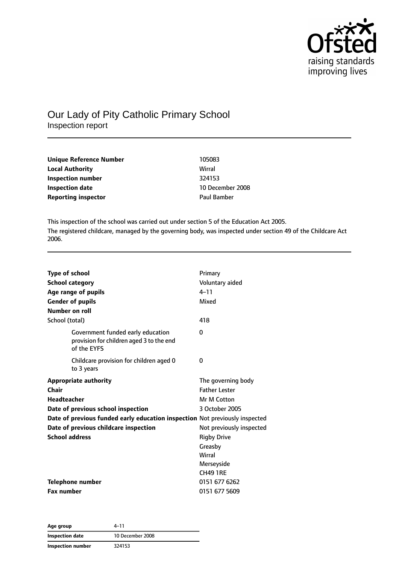

# Our Lady of Pity Catholic Primary School Inspection report

| Unique Reference Number    | 105083             |
|----------------------------|--------------------|
| <b>Local Authority</b>     | Wirral             |
| Inspection number          | 324153             |
| <b>Inspection date</b>     | 10 December 2008   |
| <b>Reporting inspector</b> | <b>Paul Bamber</b> |

This inspection of the school was carried out under section 5 of the Education Act 2005. The registered childcare, managed by the governing body, was inspected under section 49 of the Childcare Act 2006.

| <b>Type of school</b>                                                                        | Primary                  |
|----------------------------------------------------------------------------------------------|--------------------------|
| <b>School category</b>                                                                       | Voluntary aided          |
| Age range of pupils                                                                          | $4 - 11$                 |
| <b>Gender of pupils</b>                                                                      | Mixed                    |
| Number on roll                                                                               |                          |
| School (total)                                                                               | 418                      |
| Government funded early education<br>provision for children aged 3 to the end<br>of the EYFS | 0                        |
| Childcare provision for children aged 0<br>to 3 years                                        | 0                        |
| <b>Appropriate authority</b>                                                                 | The governing body       |
| Chair                                                                                        | <b>Father Lester</b>     |
| <b>Headteacher</b>                                                                           | Mr M Cotton              |
| Date of previous school inspection                                                           | 3 October 2005           |
| Date of previous funded early education inspection Not previously inspected                  |                          |
| Date of previous childcare inspection                                                        | Not previously inspected |
| <b>School address</b>                                                                        | <b>Rigby Drive</b>       |
|                                                                                              | Greasby                  |
|                                                                                              | Wirral                   |
|                                                                                              | Merseyside               |
|                                                                                              | <b>CH49 1RE</b>          |
| Telephone number                                                                             | 0151 677 6262            |
| <b>Fax number</b>                                                                            | 0151 677 5609            |

**Age group** 4–11 **Inspection date** 10 December 2008 **Inspection number** 324153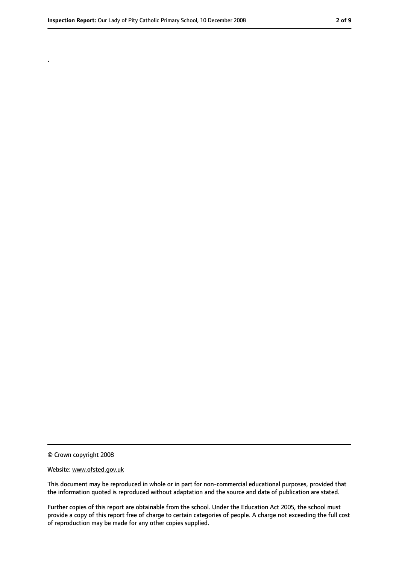.

<sup>©</sup> Crown copyright 2008

Website: www.ofsted.gov.uk

This document may be reproduced in whole or in part for non-commercial educational purposes, provided that the information quoted is reproduced without adaptation and the source and date of publication are stated.

Further copies of this report are obtainable from the school. Under the Education Act 2005, the school must provide a copy of this report free of charge to certain categories of people. A charge not exceeding the full cost of reproduction may be made for any other copies supplied.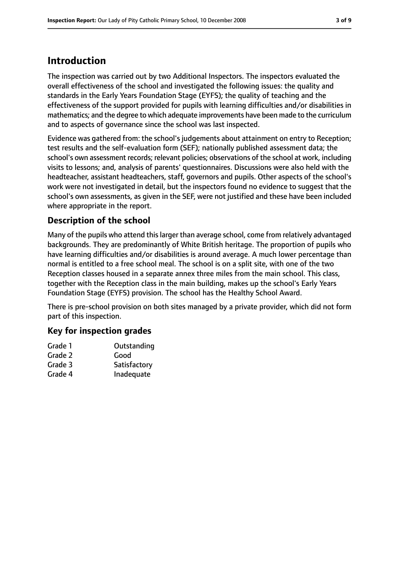# **Introduction**

The inspection was carried out by two Additional Inspectors. The inspectors evaluated the overall effectiveness of the school and investigated the following issues: the quality and standards in the Early Years Foundation Stage (EYFS); the quality of teaching and the effectiveness of the support provided for pupils with learning difficulties and/or disabilities in mathematics; and the degree to which adequate improvements have been made to the curriculum and to aspects of governance since the school was last inspected.

Evidence was gathered from: the school's judgements about attainment on entry to Reception; test results and the self-evaluation form (SEF); nationally published assessment data; the school's own assessment records; relevant policies; observations of the school at work, including visits to lessons; and, analysis of parents' questionnaires. Discussions were also held with the headteacher, assistant headteachers, staff, governors and pupils. Other aspects of the school's work were not investigated in detail, but the inspectors found no evidence to suggest that the school's own assessments, as given in the SEF, were not justified and these have been included where appropriate in the report.

### **Description of the school**

Many of the pupils who attend thislarger than average school, come from relatively advantaged backgrounds. They are predominantly of White British heritage. The proportion of pupils who have learning difficulties and/or disabilities is around average. A much lower percentage than normal is entitled to a free school meal. The school is on a split site, with one of the two Reception classes housed in a separate annex three miles from the main school. This class, together with the Reception class in the main building, makes up the school's Early Years Foundation Stage (EYFS) provision. The school has the Healthy School Award.

There is pre-school provision on both sites managed by a private provider, which did not form part of this inspection.

### **Key for inspection grades**

| Grade 1 | Outstanding  |
|---------|--------------|
| Grade 2 | Good         |
| Grade 3 | Satisfactory |
| Grade 4 | Inadequate   |
|         |              |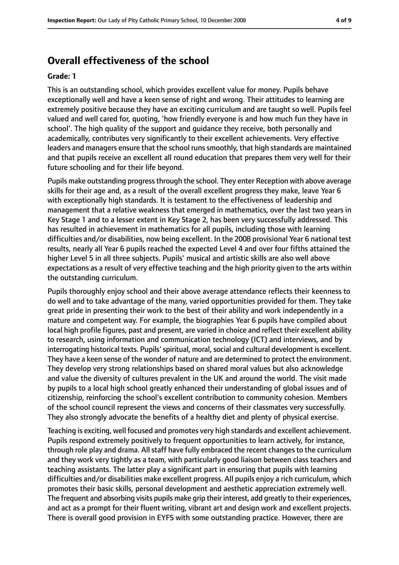### **Overall effectiveness of the school**

#### **Grade: 1**

This is an outstanding school, which provides excellent value for money. Pupils behave exceptionally well and have a keen sense of right and wrong. Their attitudes to learning are extremely positive because they have an exciting curriculum and are taught so well. Pupils feel valued and well cared for, quoting, 'how friendly everyone is and how much fun they have in school'. The high quality of the support and guidance they receive, both personally and academically, contributes very significantly to their excellent achievements. Very effective leaders and managers ensure that the school runssmoothly, that high standards are maintained and that pupils receive an excellent all round education that prepares them very well for their future schooling and for their life beyond.

Pupils make outstanding progress through the school. They enter Reception with above average skills for their age and, as a result of the overall excellent progress they make, leave Year 6 with exceptionally high standards. It is testament to the effectiveness of leadership and management that a relative weakness that emerged in mathematics, over the last two years in Key Stage 1 and to a lesser extent in Key Stage 2, has been very successfully addressed. This has resulted in achievement in mathematics for all pupils, including those with learning difficulties and/or disabilities, now being excellent. In the 2008 provisional Year 6 national test results, nearly all Year 6 pupils reached the expected Level 4 and over four fifths attained the higher Level 5 in all three subjects. Pupils' musical and artistic skills are also well above expectations as a result of very effective teaching and the high priority given to the arts within the outstanding curriculum.

Pupils thoroughly enjoy school and their above average attendance reflects their keenness to do well and to take advantage of the many, varied opportunities provided for them. They take great pride in presenting their work to the best of their ability and work independently in a mature and competent way. For example, the biographies Year 6 pupils have compiled about local high profile figures, past and present, are varied in choice and reflect their excellent ability to research, using information and communication technology (ICT) and interviews, and by interrogating historical texts. Pupils' spiritual, moral, social and cultural development is excellent. They have a keen sense of the wonder of nature and are determined to protect the environment. They develop very strong relationships based on shared moral values but also acknowledge and value the diversity of cultures prevalent in the UK and around the world. The visit made by pupils to a local high school greatly enhanced their understanding of global issues and of citizenship, reinforcing the school's excellent contribution to community cohesion. Members of the school council represent the views and concerns of their classmates very successfully. They also strongly advocate the benefits of a healthy diet and plenty of physical exercise.

Teaching is exciting, well focused and promotes very high standards and excellent achievement. Pupils respond extremely positively to frequent opportunities to learn actively, for instance, through role play and drama. All staff have fully embraced the recent changes to the curriculum and they work very tightly as a team, with particularly good liaison between class teachers and teaching assistants. The latter play a significant part in ensuring that pupils with learning difficulties and/or disabilities make excellent progress. All pupils enjoy a rich curriculum, which promotes their basic skills, personal development and aesthetic appreciation extremely well. The frequent and absorbing visits pupils make grip their interest, add greatly to their experiences, and act as a prompt for their fluent writing, vibrant art and design work and excellent projects. There is overall good provision in EYFS with some outstanding practice. However, there are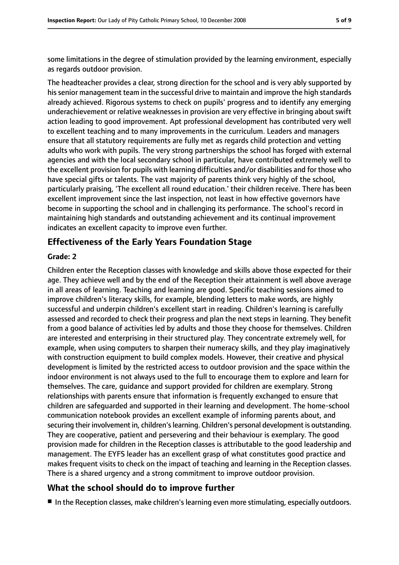some limitations in the degree of stimulation provided by the learning environment, especially as regards outdoor provision.

The headteacher provides a clear, strong direction for the school and is very ably supported by hissenior management team in the successful drive to maintain and improve the high standards already achieved. Rigorous systems to check on pupils' progress and to identify any emerging underachievement or relative weaknesses in provision are very effective in bringing about swift action leading to good improvement. Apt professional development has contributed very well to excellent teaching and to many improvements in the curriculum. Leaders and managers ensure that all statutory requirements are fully met as regards child protection and vetting adults who work with pupils. The very strong partnerships the school has forged with external agencies and with the local secondary school in particular, have contributed extremely well to the excellent provision for pupils with learning difficulties and/or disabilities and for those who have special gifts or talents. The vast majority of parents think very highly of the school, particularly praising, 'The excellent all round education.' their children receive. There has been excellent improvement since the last inspection, not least in how effective governors have become in supporting the school and in challenging its performance. The school's record in maintaining high standards and outstanding achievement and its continual improvement indicates an excellent capacity to improve even further.

### **Effectiveness of the Early Years Foundation Stage**

#### **Grade: 2**

Children enter the Reception classes with knowledge and skills above those expected for their age. They achieve well and by the end of the Reception their attainment is well above average in all areas of learning. Teaching and learning are good. Specific teaching sessions aimed to improve children's literacy skills, for example, blending letters to make words, are highly successful and underpin children's excellent start in reading. Children's learning is carefully assessed and recorded to check their progress and plan the next steps in learning. They benefit from a good balance of activities led by adults and those they choose for themselves. Children are interested and enterprising in their structured play. They concentrate extremely well, for example, when using computers to sharpen their numeracy skills, and they play imaginatively with construction equipment to build complex models. However, their creative and physical development is limited by the restricted access to outdoor provision and the space within the indoor environment is not always used to the full to encourage them to explore and learn for themselves. The care, guidance and support provided for children are exemplary. Strong relationships with parents ensure that information is frequently exchanged to ensure that children are safeguarded and supported in their learning and development. The home-school communication notebook provides an excellent example of informing parents about, and securing their involvement in, children's learning. Children's personal development is outstanding. They are cooperative, patient and persevering and their behaviour is exemplary. The good provision made for children in the Reception classes is attributable to the good leadership and management. The EYFS leader has an excellent grasp of what constitutes good practice and makes frequent visits to check on the impact of teaching and learning in the Reception classes. There is a shared urgency and a strong commitment to improve outdoor provision.

### **What the school should do to improve further**

■ In the Reception classes, make children's learning even more stimulating, especially outdoors.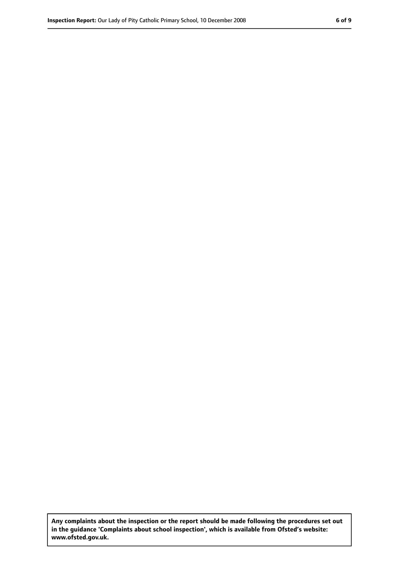**Any complaints about the inspection or the report should be made following the procedures set out in the guidance 'Complaints about school inspection', which is available from Ofsted's website: www.ofsted.gov.uk.**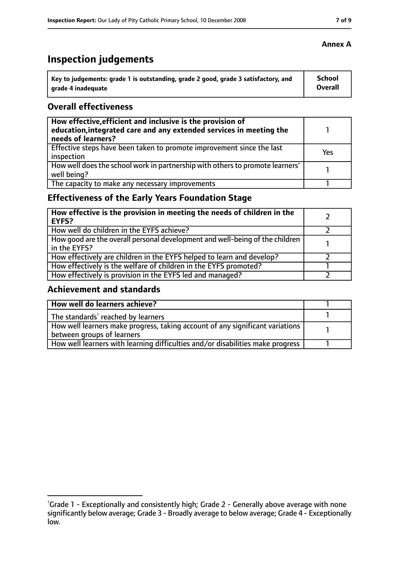# **Inspection judgements**

| Key to judgements: grade 1 is outstanding, grade 2 good, grade 3 satisfactory, and | <b>School</b> |
|------------------------------------------------------------------------------------|---------------|
| arade 4 inadequate                                                                 | Overall       |

### **Overall effectiveness**

| How effective, efficient and inclusive is the provision of<br>education, integrated care and any extended services in meeting the<br>needs of learners? |     |
|---------------------------------------------------------------------------------------------------------------------------------------------------------|-----|
| Effective steps have been taken to promote improvement since the last<br>inspection                                                                     | Yes |
| How well does the school work in partnership with others to promote learners'<br>well being?                                                            |     |
| The capacity to make any necessary improvements                                                                                                         |     |

# **Effectiveness of the Early Years Foundation Stage**

| How effective is the provision in meeting the needs of children in the<br><b>EYFS?</b>       |  |
|----------------------------------------------------------------------------------------------|--|
| How well do children in the EYFS achieve?                                                    |  |
| How good are the overall personal development and well-being of the children<br>in the EYFS? |  |
| How effectively are children in the EYFS helped to learn and develop?                        |  |
| How effectively is the welfare of children in the EYFS promoted?                             |  |
| How effectively is provision in the EYFS led and managed?                                    |  |

### **Achievement and standards**

| How well do learners achieve?                                                               |  |
|---------------------------------------------------------------------------------------------|--|
| $\vert$ The standards <sup>1</sup> reached by learners                                      |  |
| $\mid$ How well learners make progress, taking account of any significant variations $\mid$ |  |
| between groups of learners                                                                  |  |
| How well learners with learning difficulties and/or disabilities make progress              |  |

<sup>&</sup>lt;sup>1</sup>Grade 1 - Exceptionally and consistently high; Grade 2 - Generally above average with none significantly below average; Grade 3 - Broadly average to below average; Grade 4 - Exceptionally low.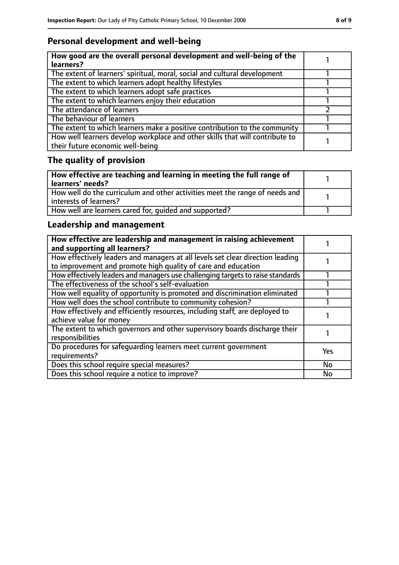# **Personal development and well-being**

| How good are the overall personal development and well-being of the<br>learners?                                 |  |
|------------------------------------------------------------------------------------------------------------------|--|
| The extent of learners' spiritual, moral, social and cultural development                                        |  |
| The extent to which learners adopt healthy lifestyles                                                            |  |
| The extent to which learners adopt safe practices                                                                |  |
| The extent to which learners enjoy their education                                                               |  |
| The attendance of learners                                                                                       |  |
| The behaviour of learners                                                                                        |  |
| The extent to which learners make a positive contribution to the community                                       |  |
| How well learners develop workplace and other skills that will contribute to<br>their future economic well-being |  |

# **The quality of provision**

| How effective are teaching and learning in meeting the full range of<br>learners' needs?                |  |
|---------------------------------------------------------------------------------------------------------|--|
| How well do the curriculum and other activities meet the range of needs and<br>  interests of learners? |  |
| How well are learners cared for, quided and supported?                                                  |  |

# **Leadership and management**

| How effective are leadership and management in raising achievement<br>and supporting all learners?                                              |     |
|-------------------------------------------------------------------------------------------------------------------------------------------------|-----|
| How effectively leaders and managers at all levels set clear direction leading<br>to improvement and promote high quality of care and education |     |
| How effectively leaders and managers use challenging targets to raise standards                                                                 |     |
| The effectiveness of the school's self-evaluation                                                                                               |     |
| How well equality of opportunity is promoted and discrimination eliminated                                                                      |     |
| How well does the school contribute to community cohesion?                                                                                      |     |
| How effectively and efficiently resources, including staff, are deployed to<br>achieve value for money                                          |     |
| The extent to which governors and other supervisory boards discharge their<br>responsibilities                                                  |     |
| Do procedures for safequarding learners meet current government<br>requirements?                                                                | Yes |
| Does this school require special measures?                                                                                                      | No  |
| Does this school require a notice to improve?                                                                                                   | No  |